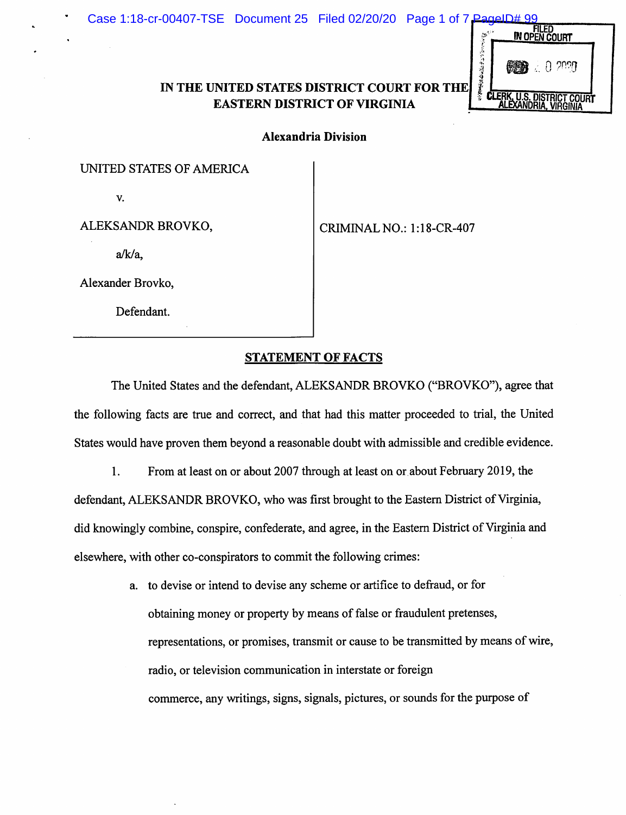## IN THE UNITED STATES DISTRICT COURT FOR THE EASTERN DISTRICT OF VIRGINIA



Alexandria Division

UNITED STATES OF AMERICA

V.

ALEKSANDR BROVKO,

a/k/a,

Alexander Brovko,

Defendant.

CRIMINAL NO.: l:18-CR-407

STATEMENT OF FACTS

The United States and the defendant, ALEKSANDR BROVKO ("BROVKO"), agree that the following facts are true and correct, and that had this matter proceeded to trial, the United States would have proven them beyond a reasonable doubt with admissible and credible evidence.

1. From at least on or about 2007 through at least on or about February 2019, the defendant, ALEKSANDR BROVKO, who was first brought to the Eastern District of Virginia, did knowingly combine, conspire, confederate, and agree, in the Eastern District of Virginia and elsewhere, with other co-conspirators to commit the following crimes:

> a. to devise or intend to devise any scheme or artifice to defraud, or for obtaining money or property by means of false or fraudulent pretenses, representations, or promises, transmit or cause to be transmitted by means of wire, radio, or television communication in interstate or foreign commerce, any writings, signs, signals, pictures, or sounds for the purpose of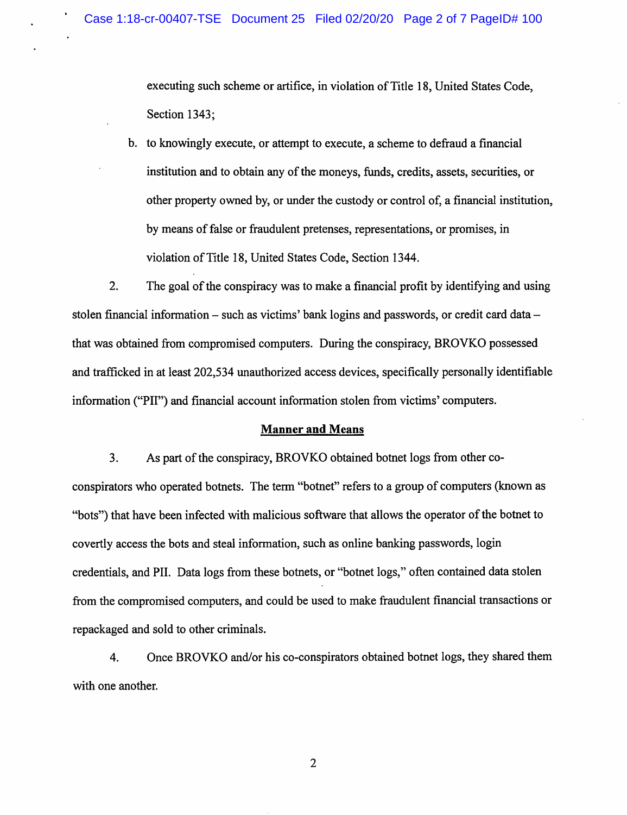executing such scheme or artifice, in violation of Title 18, United States Code, Section 1343:

b. to knowingly execute, or attempt to execute, a scheme to defraud a financial institution and to obtain any of the moneys, funds, credits, assets, securities, or other property owned by, or under the custody or control of, a financial institution, by means of false or fraudulent pretenses, representations, or promises, in violation of Title 18, United States Code, Section 1344.

 $\overline{2}$ . The goal of the conspiracy was to make a financial profit by identifying and using stolen financial information – such as victims' bank logins and passwords, or credit card data – that was obtained from compromised computers. During the conspiracy, BROVKO possessed and trafficked in at least 202,534 unauthorized access devices, specifically personally identifiable information ("PII") and financial account information stolen from victims' computers.

## **Manner and Means**

3. As part of the conspiracy, BROVKO obtained botnet logs from other coconspirators who operated botnets. The term "botnet" refers to a group of computers (known as "bots") that have been infected with malicious software that allows the operator of the botnet to covertly access the bots and steal information, such as online banking passwords, login credentials, and PII. Data logs from these botnets, or "botnet logs," often contained data stolen from the compromised computers, and could be used to make fraudulent financial transactions or repackaged and sold to other criminals.

4. Once BROVKO and/or his co-conspirators obtained botnet logs, they shared them with one another.

 $\overline{2}$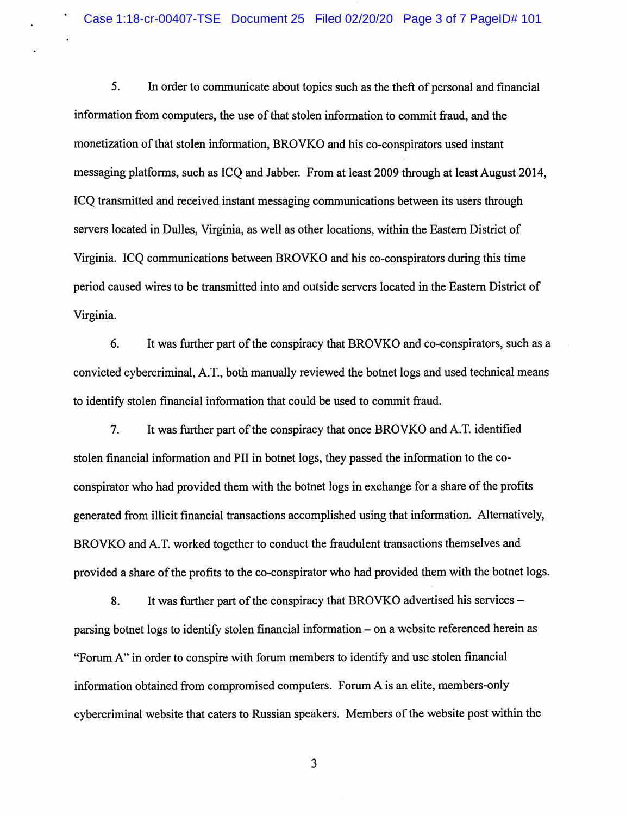5. In order to communicate about topics such as the theft of personal and financial information from computers, the use of that stolen information to commit fraud, and the monetization of that stolen information. BROVKO and his co-conspirators used instant messaging platforms, such as ICQ and Jabber. From at least 2009 through at least August 2014, ICO transmitted and received instant messaging communications between its users through servers located in Dulles, Virginia, as well as other locations, within the Eastern District of Virginia. ICQ communications between BROVKO and his co-conspirators during this time period caused wires to be transmitted into and outside servers located in the Eastern District of Virginia.

6. It was further part of the conspiracy that BROVKO and co-conspirators, such as a convicted cybercriminal, A.T., both manually reviewed the botnet logs and used technical means to identify stolen financial information that could be used to commit fraud.

 $7<sub>1</sub>$ It was further part of the conspiracy that once BROVKO and A.T. identified stolen financial information and PII in botnet logs, they passed the information to the coconspirator who had provided them with the botnet logs in exchange for a share of the profits generated from illicit financial transactions accomplished using that information. Alternatively, BROVKO and A.T. worked together to conduct the fraudulent transactions themselves and provided a share of the profits to the co-conspirator who had provided them with the botnet logs.

It was further part of the conspiracy that BROVKO advertised his services – 8. parsing botnet logs to identify stolen financial information – on a website referenced herein as "Forum A" in order to conspire with forum members to identify and use stolen financial information obtained from compromised computers. Forum A is an elite, members-only cybercriminal website that caters to Russian speakers. Members of the website post within the

3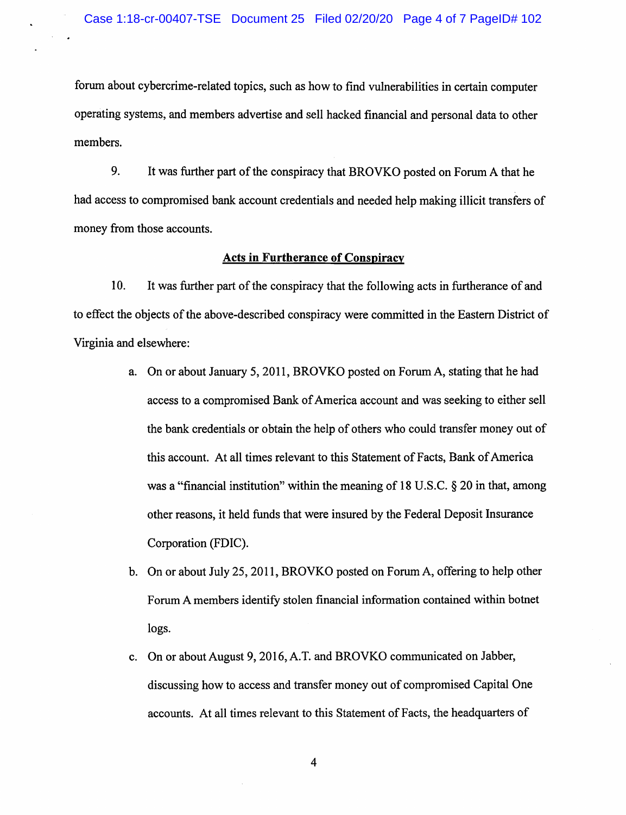forum about cybercrime-related topics, such as how to find vulnerabilities in certain computer operating systems, and members advertise and sell hacked financial and personal data to other members.

9. It was further part of the conspiracy that BROVKO posted on Forum A that he had access to compromised bank account credentials and needed help making illicit transfers of money from those accounts.

## **Acts in Furtherance of Conspiracy**

10. It was further part of the conspiracy that the following acts in furtherance of and to effect the objects of the above-described conspiracy were committed in the Eastern District of Virginia and elsewhere:

- a. On or about January 5, 2011, BROVKO posted on Forum A, stating that he had access to a compromised Bank of America account and was seeking to either sell the bank credentials or obtain the help of others who could transfer money out of this account. At all times relevant to this Statement of Facts, Bank of America was a "financial institution" within the meaning of 18 U.S.C.  $\S$  20 in that, among other reasons, it held funds that were insured by the Federal Deposit Insurance Corporation (FDIC).
- b. On or about July 25, 2011, BROVKO posted on Forum A, offering to help other Forum A members identify stolen financial information contained within botnet logs.
- c. On or about August 9, 2016, A.T. and BROVKO communicated on Jabber, discussing how to access and transfer money out of compromised Capital One accounts. At all times relevant to this Statement of Facts, the headquarters of

 $\overline{\mathbf{4}}$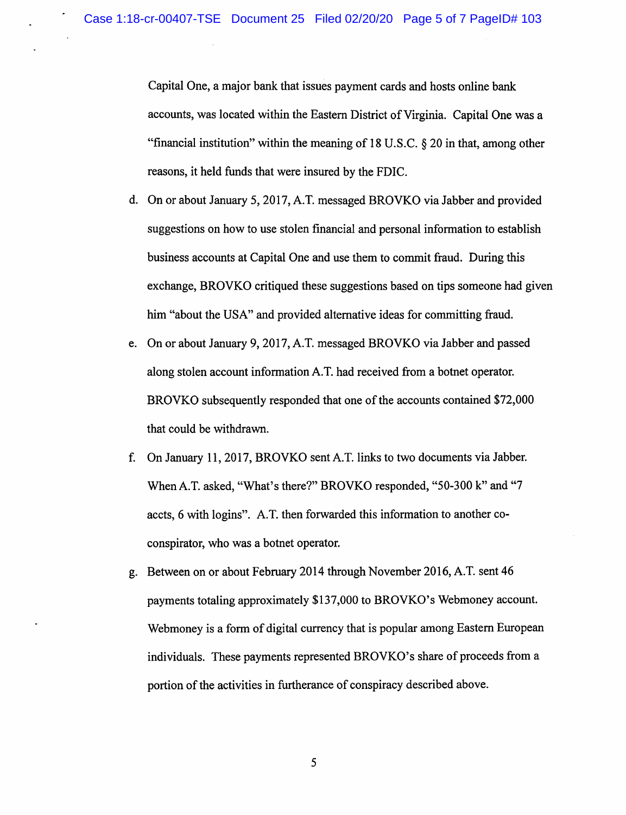Capital One, a major bank that issues payment cards and hosts online bank accounts, was located within the Eastern District of Virginia. Capital One was a "financial institution" within the meaning of 18 U.S.C.  $\S 20$  in that, among other reasons, it held funds that were insured by the FDIC.

- d. On or about January 5, 2017, A.T. messaged BROVKO via Jabber and provided suggestions on how to use stolen financial and personal information to establish business accounts at Capital One and use them to commit fraud. During this exchange, BROVKO critiqued these suggestions based on tips someone had given him "about the USA" and provided alternative ideas for committing fraud.
- e. On or about January 9, 2017, A.T. messaged BROVKO via Jabber and passed along stolen account information A.T. had received from a botnet operator. BROVKO subsequently responded that one of the accounts contained \$72,000 that could be withdrawn.
- f. On January 11, 2017, BROVKO sent A.T. links to two documents via Jabber. When A.T. asked, "What's there?" BROVKO responded, "50-300 k" and "7 accts, 6 with logins". A.T. then forwarded this information to another coconspirator, who was a botnet operator.
- g. Between on or about February 2014 through November 2016, A.T. sent 46 payments totaling approximately \$137,000 to BROVKO's Webmoney account. Webmoney is a form of digital currency that is popular among Eastern European individuals. These payments represented BROVKO's share of proceeds from a portion of the activities in furtherance of conspiracy described above.

5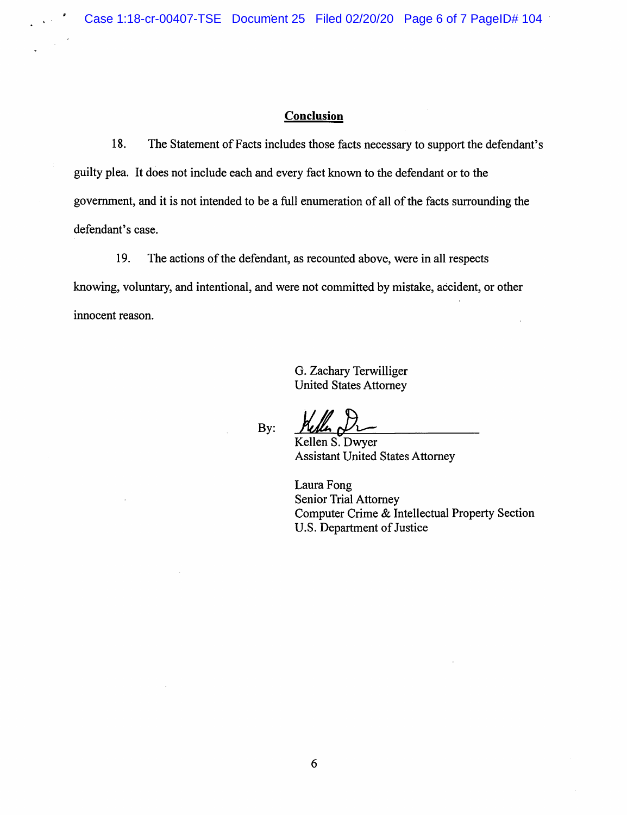## Conclusion

18. The Statement of Facts includes those facts necessary to support the defendant's guilty plea. It does not include each and every fact known to the defendant or to the government, and it is not intended to be a full enumeration of all of the facts surrounding the defendant's case.

19. The actions of the defendant, as recounted above, were in all respects knowing, voluntary, and intentional, and were not committed by mistake, accident, or other innocent reason.

> G. Zachary Terwilliger **United States Attorney**

By:

Kellen S. Dwyer **Assistant United States Attorney** 

Laura Fong **Senior Trial Attorney** Computer Crime & Intellectual Property Section U.S. Department of Justice